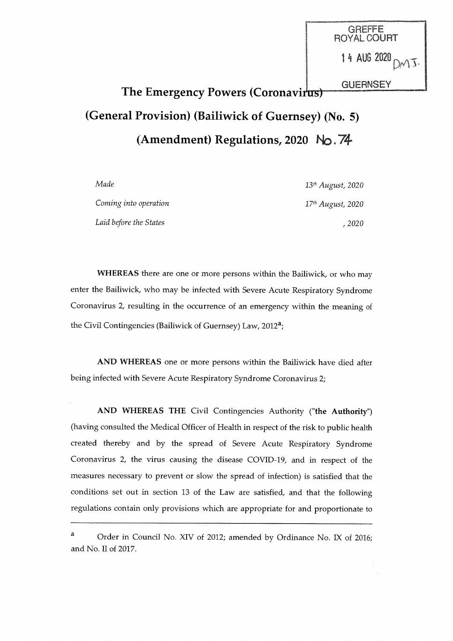**GREFFE** ROYALCOURT 14 AU6 2020  $OMJ$ **GUERNSEY** 

# The Emergency Powers (Coronavirus) (General Provision) (Bailiwick of Guernsey) (No. 5) (Amendment) Regulations, 2020 No. '74'

| Made                   | 13 <sup>th</sup> August, 2020 |
|------------------------|-------------------------------|
| Coming into operation  | 17 <sup>th</sup> August, 2020 |
| Laid before the States | -2020                         |

WHEREAS there are one or more persons within the Bailiwick, or who may enter the Bailiwick, who may be infected with Severe Acute Respiratory Syndrome Coronavirus 2, resulting in the occurrence of an emergency within the meaning of the Civil Contingencies (Bailiwick of Guernsey) Law, 2012a;

AND WHEREAS one or more persons within the Bailiwick have died after being infected with Severe Acute Respiratory Syndrome Coronavirus 2;

AND WHEREAS THE Civil Contingencies Authority ("the Authority") (having consulted the Medical Officer of Health in respect of the risk to public health created thereby and by the spread of Severe Acute Respiratory Syndrome Coronavirus 2, the virus causing the disease COVID-19, and in respect of the measures necessary to prevent or slow the spread of infection) is satisfied that the conditions set out in section 13 of the Law are satisfied, and that the following regulations contain only provisions which are appropriate for and proportionate to

a Order in Council No. XIV of 2012; amended by Ordinance No. IX of 2016; and No. II of 2017.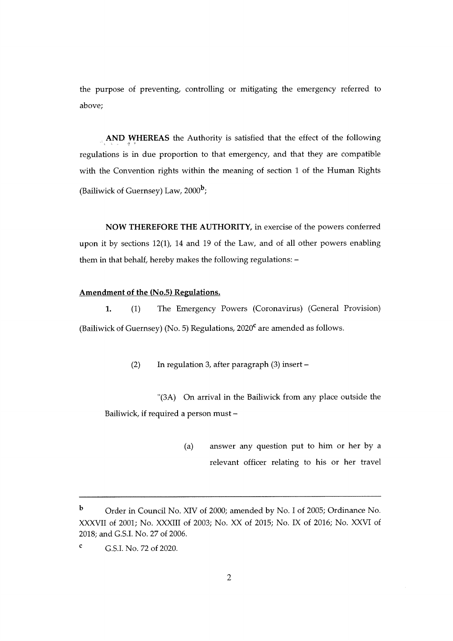the purpose of preventing, controlling or mitigating the emergency referred toabove;

AND WHEREAS the Authority is satisfied that the effect of the followingregulations is in due proportion to that emergency, and that they are compatiblewith the Convention rights within the meaning of section 1 of the Human Rights(Bailiwick of Guernsey) Law,  $2000<sup>b</sup>$ ;

NOW THEREFORE THE AUTHORITY, in exercise of the powers conferredupon it by sections 12(1), 14 and 19 of the Law, and of all other powers enablingthem in that behalf, hereby makes the following regulations: -

## Amendment of the (No.5) Regulations.

1. (1) The Emergency Powers (Coronavirus) (General Provision)(Bailiwick of Guernsey) (No. 5) Regulations,  $2020^{\circ}$  are amended as follows.

(2) In regulation 3, after paragraph (3) insert -

"(3A) On arrival in the Bailiwick from any place outside theBailiwick, if required a person must -

> (a) answer any question put to him or her by arelevant officer relating to his or her travel

b Order in Council No. XIV of 2000; amended by No. I of 2005; Ordinance No.XXXVII of 2001; No. XXXIII of 2003; No. XX of 2015; No. IX of 2016; No. XXVI of2018; and G.S.I. No. 27 of 2006.

c G.S.I. No. 72 of 2020.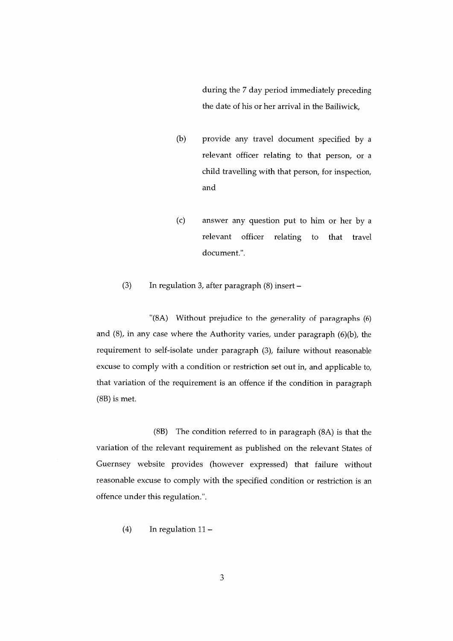during the 7 day period immediately preceding the date of his or her arrival in the Bailiwick,

- (b) provide any travel document specified by a relevant officer relating to that person, or a child travelling with that person, for inspection, and
- (c) answer any question put to him or her by a relevant officer relating to that travel document.".

# (3) In regulation 3, after paragraph  $(8)$  insert -

"(8A) Without prejudice to the generality of paragraphs (6) and  $(8)$ , in any case where the Authority varies, under paragraph  $(6)(b)$ , the requirement to self-isolate under paragraph (3), failure without reasonable excuse to comply with a condition or restriction set out in, and applicable to, that variation of the requirement is an offence if the condition in paragraph (8B) is met.

(8B) The condition referred to in paragraph (8A) is that the variation of the relevant requirement as published on the relevant States of Guernsey website provides (however expressed) that failure without reasonable excuse to comply with the specified condition or restriction is an offence under this regulation.".

 $(4)$  In regulation  $11 -$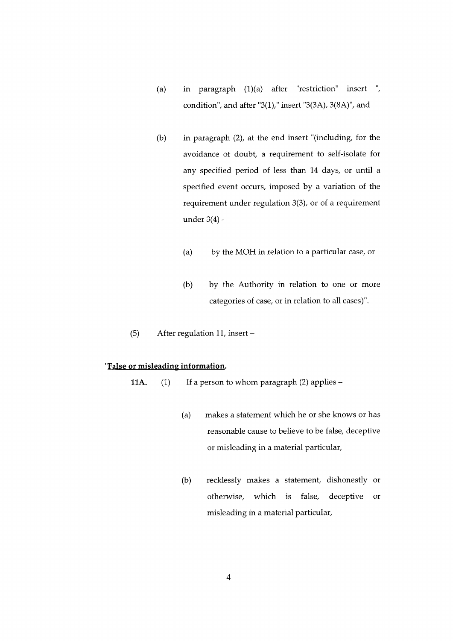- (a) in paragraph  $(1)(a)$  after "restriction" insert ", condition", and after "3(1)," insert "3(3A), 3(8A)", and
- (b) in paragraph (2), at the end insert "(including, for theavoidance of doubt, a requirement to self-isolate forany specified period of less than 14 days, or until aspecified event occurs, imposed by a variation of therequirement under regulation 3(3), or of a requirementunder 3(4) -
	- (a) by the MOH in relation to a particular case, or
	- (b) by the Authority in relation to one or morecategories of case, or in relation to all cases)".
- (5)After regulation 11, insert -

#### "False or misleading information.

11A.  $(1)$  If a person to whom paragraph  $(2)$  applies -

- (a) makes a statement which he or she knows or hasreasonable cause to believe to be false, deceptiveor misleading in a material particular,
- (b) recklessly makes a statement, dishonestly orotherwise, which is false, deceptive ormisleading in a material particular,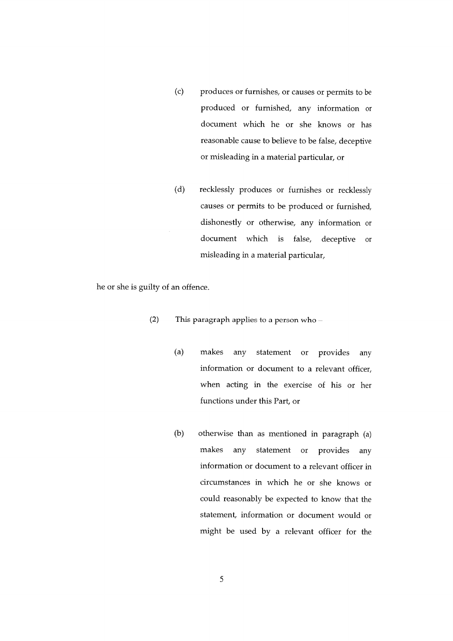- (c) produces or furnishes, or causes or permits to be produced or furnished, any information or document which he or she knows or has reasonable cause to believe to be false, deceptive or misleading in a material particular, or
- (d) recklessly produces or furnishes or recklessly causes or permits to be produced or furnished, dishonestly or otherwise, any information or document which is false, deceptive or misleading in a material particular,

he or she is guilty of an offence.

- (2) This paragraph applies to a person who
	- (a) makes any statement or provides any information or document to a relevant officer, when acting in the exercise of his or her functions under this Part, or
	- (b) otherwise than as mentioned in paragraph (a) makes any statement or provides any information or document to a relevant officer in circumstances in which he or she knows or could reasonably be expected to know that the statement, information or document would or might be used by a relevant officer for the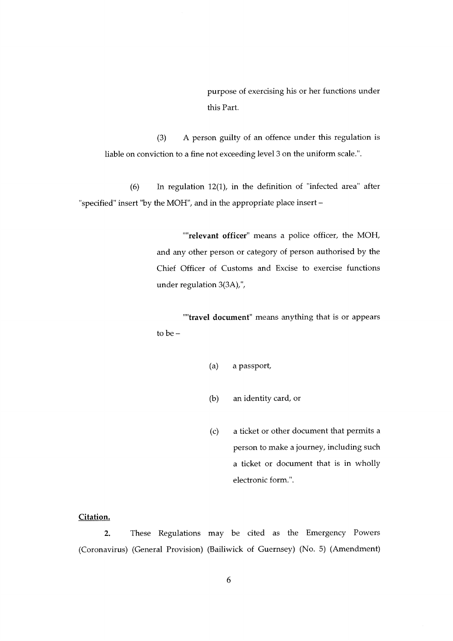purpose of exercising his or her functions underthis Part.

(3) A person guilty of an offence under this regulation isliable on conviction to a fine not exceeding level 3 on the uniform scale.".

(6) In regulation 12(1), in the definition of "infected area" after"specified" insert "by the MOH", and in the appropriate place insert -

> ""relevant officer" means a police officer, the MOH, and any other person or category of person authorised by theChief Officer of Customs and Excise to exercise functionsunder regulation 3(3A)/'/

> "travel document" means anything that is or appearsto be $-$

- (a) a passport,
- (b) an identity card, or
- (c) a ticket or other document that permits aperson to make a journey, including sucha ticket or document that is in whollyelectronic form.".

#### Citation.

2. These Regulations may be cited as the Emergency Powers(Coronavirus) (General Provision) (Bailiwick of Guernsey) (No. 5) (Amendment)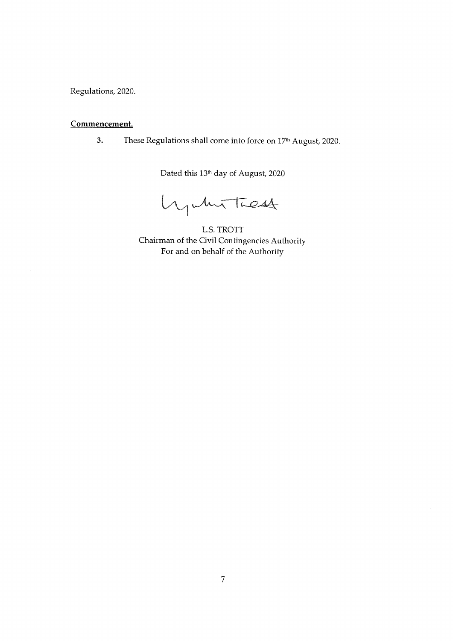Regulations, 2020.

# Commencement.

3. These Regulations shall come into force on 17<sup>th</sup> August, 2020.

Dated this 13th day of August, 2020

hywhit These

L.S. TROTT Chairman of the Civil Contingencies Authority For and on behalf of the Authority